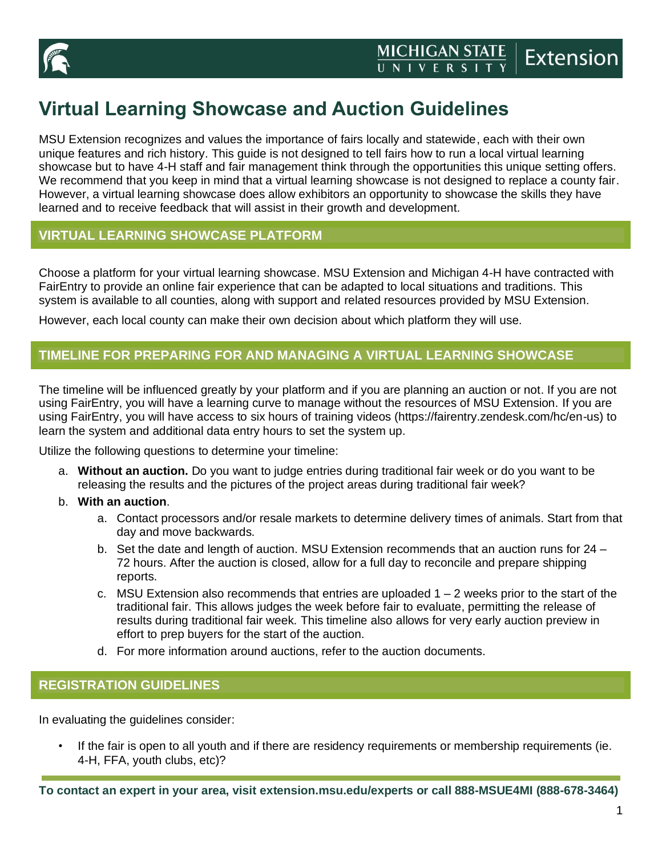

# **Virtual Learning Showcase and Auction Guidelines**

MSU Extension recognizes and values the importance of fairs locally and statewide, each with their own unique features and rich history. This guide is not designed to tell fairs how to run a local virtual learning showcase but to have 4-H staff and fair management think through the opportunities this unique setting offers. We recommend that you keep in mind that a virtual learning showcase is not designed to replace a county fair. However, a virtual learning showcase does allow exhibitors an opportunity to showcase the skills they have learned and to receive feedback that will assist in their growth and development.

## **VIRTUAL LEARNING SHOWCASE PLATFORM**

Choose a platform for your virtual learning showcase. MSU Extension and Michigan 4-H have contracted with FairEntry to provide an online fair experience that can be adapted to local situations and traditions. This system is available to all counties, along with support and related resources provided by MSU Extension.

However, each local county can make their own decision about which platform they will use.

# **TIMELINE FOR PREPARING FOR AND MANAGING A VIRTUAL LEARNING SHOWCASE**

The timeline will be influenced greatly by your platform and if you are planning an auction or not. If you are not using FairEntry, you will have a learning curve to manage without the resources of MSU Extension. If you are using FairEntry, you will have access to six hours of training videos (https://fairentry.zendesk.com/hc/en-us) to learn the system and additional data entry hours to set the system up.

Utilize the following questions to determine your timeline:

- a. **Without an auction.** Do you want to judge entries during traditional fair week or do you want to be releasing the results and the pictures of the project areas during traditional fair week?
- b. **With an auction**.
	- a. Contact processors and/or resale markets to determine delivery times of animals. Start from that day and move backwards.
	- b. Set the date and length of auction. MSU Extension recommends that an auction runs for 24 72 hours. After the auction is closed, allow for a full day to reconcile and prepare shipping reports.
	- c. MSU Extension also recommends that entries are uploaded  $1 2$  weeks prior to the start of the traditional fair. This allows judges the week before fair to evaluate, permitting the release of results during traditional fair week. This timeline also allows for very early auction preview in effort to prep buyers for the start of the auction.
	- d. For more information around auctions, refer to the auction documents.

#### **REGISTRATION GUIDELINES**

In evaluating the guidelines consider:

If the fair is open to all youth and if there are residency requirements or membership requirements (ie. 4-H, FFA, youth clubs, etc)?

**To contact an expert in your area, visit extension.msu.edu/experts or call 888-MSUE4MI (888-678-3464)**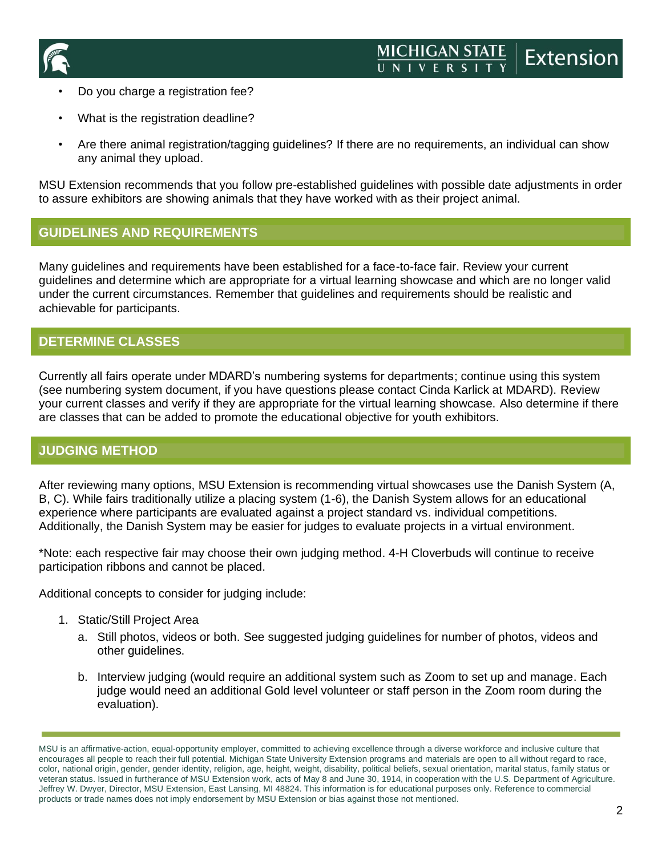

- Do you charge a registration fee?
- What is the registration deadline?
- Are there animal registration/tagging guidelines? If there are no requirements, an individual can show any animal they upload.

MSU Extension recommends that you follow pre-established guidelines with possible date adjustments in order to assure exhibitors are showing animals that they have worked with as their project animal.

## **GUIDELINES AND REQUIREMENTS**

Many guidelines and requirements have been established for a face-to-face fair. Review your current guidelines and determine which are appropriate for a virtual learning showcase and which are no longer valid under the current circumstances. Remember that guidelines and requirements should be realistic and achievable for participants.

## **DETERMINE CLASSES**

Currently all fairs operate under MDARD's numbering systems for departments; continue using this system (see numbering system document, if you have questions please contact Cinda Karlick at MDARD). Review your current classes and verify if they are appropriate for the virtual learning showcase. Also determine if there are classes that can be added to promote the educational objective for youth exhibitors.

#### **JUDGING METHOD**

After reviewing many options, MSU Extension is recommending virtual showcases use the Danish System (A, B, C). While fairs traditionally utilize a placing system (1-6), the Danish System allows for an educational experience where participants are evaluated against a project standard vs. individual competitions. Additionally, the Danish System may be easier for judges to evaluate projects in a virtual environment.

\*Note: each respective fair may choose their own judging method. 4-H Cloverbuds will continue to receive participation ribbons and cannot be placed.

Additional concepts to consider for judging include:

- 1. Static/Still Project Area
	- a. Still photos, videos or both. See suggested judging guidelines for number of photos, videos and other guidelines.
	- b. Interview judging (would require an additional system such as Zoom to set up and manage. Each judge would need an additional Gold level volunteer or staff person in the Zoom room during the evaluation).

MSU is an affirmative-action, equal-opportunity employer, committed to achieving excellence through a diverse workforce and inclusive culture that encourages all people to reach their full potential. Michigan State University Extension programs and materials are open to all without regard to race, color, national origin, gender, gender identity, religion, age, height, weight, disability, political beliefs, sexual orientation, marital status, family status or veteran status. Issued in furtherance of MSU Extension work, acts of May 8 and June 30, 1914, in cooperation with the U.S. Department of Agriculture. Jeffrey W. Dwyer, Director, MSU Extension, East Lansing, MI 48824. This information is for educational purposes only. Reference to commercial products or trade names does not imply endorsement by MSU Extension or bias against those not mentioned.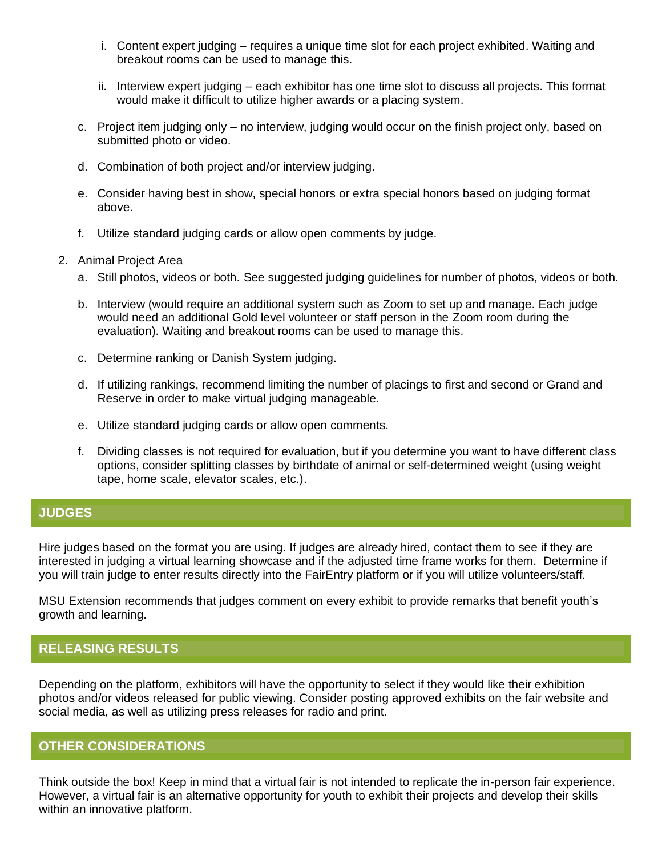- i. Content expert judging requires a unique time slot for each project exhibited. Waiting and breakout rooms can be used to manage this.
- ii. Interview expert judging each exhibitor has one time slot to discuss all projects. This format would make it difficult to utilize higher awards or a placing system.
- c. Project item judging only no interview, judging would occur on the finish project only, based on submitted photo or video.
- d. Combination of both project and/or interview judging.
- e. Consider having best in show, special honors or extra special honors based on judging format above.
- f. Utilize standard judging cards or allow open comments by judge.
- 2. Animal Project Area
	- a. Still photos, videos or both. See suggested judging guidelines for number of photos, videos or both.
	- b. Interview (would require an additional system such as Zoom to set up and manage. Each judge would need an additional Gold level volunteer or staff person in the Zoom room during the evaluation). Waiting and breakout rooms can be used to manage this.
	- c. Determine ranking or Danish System judging.
	- d. If utilizing rankings, recommend limiting the number of placings to first and second or Grand and Reserve in order to make virtual judging manageable.
	- e. Utilize standard judging cards or allow open comments.
	- f. Dividing classes is not required for evaluation, but if you determine you want to have different class options, consider splitting classes by birthdate of animal or self-determined weight (using weight tape, home scale, elevator scales, etc.).

#### **JUDGES**

Hire judges based on the format you are using. If judges are already hired, contact them to see if they are interested in judging a virtual learning showcase and if the adjusted time frame works for them. Determine if you will train judge to enter results directly into the FairEntry platform or if you will utilize volunteers/staff.

MSU Extension recommends that judges comment on every exhibit to provide remarks that benefit youth's growth and learning.

# **RELEASING RESULTS**

Depending on the platform, exhibitors will have the opportunity to select if they would like their exhibition photos and/or videos released for public viewing. Consider posting approved exhibits on the fair website and social media, as well as utilizing press releases for radio and print.

#### **OTHER CONSIDERATIONS**

Think outside the box! Keep in mind that a virtual fair is not intended to replicate the in-person fair experience. However, a virtual fair is an alternative opportunity for youth to exhibit their projects and develop their skills within an innovative platform.